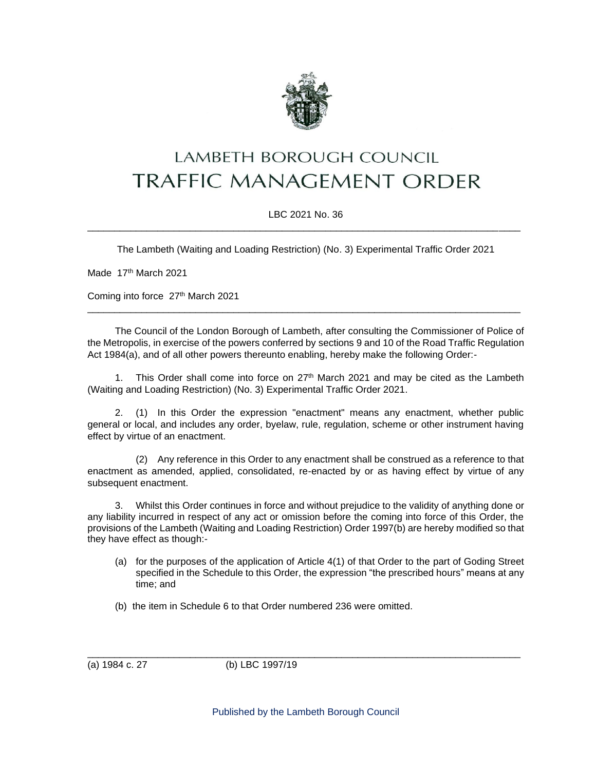

## LAMBETH BOROUGH COUNCIL **TRAFFIC MANAGEMENT ORDER**

## LBC 2021 No. 36 \_\_\_\_\_\_\_\_\_\_\_\_\_\_\_\_\_\_\_\_\_\_\_\_\_\_\_\_\_\_\_\_\_\_\_\_\_\_\_\_\_\_\_\_\_\_\_\_\_\_\_\_\_\_\_\_\_\_\_\_\_\_\_\_\_\_\_\_\_\_\_\_\_\_\_\_\_\_\_\_

The Lambeth (Waiting and Loading Restriction) (No. 3) Experimental Traffic Order 2021

Made 17<sup>th</sup> March 2021

Coming into force 27<sup>th</sup> March 2021

The Council of the London Borough of Lambeth, after consulting the Commissioner of Police of the Metropolis, in exercise of the powers conferred by sections 9 and 10 of the Road Traffic Regulation Act 1984(a), and of all other powers thereunto enabling, hereby make the following Order:-

\_\_\_\_\_\_\_\_\_\_\_\_\_\_\_\_\_\_\_\_\_\_\_\_\_\_\_\_\_\_\_\_\_\_\_\_\_\_\_\_\_\_\_\_\_\_\_\_\_\_\_\_\_\_\_\_\_\_\_\_\_\_\_\_\_\_\_\_\_\_\_\_\_\_\_\_\_\_\_\_

1. This Order shall come into force on  $27<sup>th</sup>$  March 2021 and may be cited as the Lambeth (Waiting and Loading Restriction) (No. 3) Experimental Traffic Order 2021.

2. (1) In this Order the expression "enactment" means any enactment, whether public general or local, and includes any order, byelaw, rule, regulation, scheme or other instrument having effect by virtue of an enactment.

(2) Any reference in this Order to any enactment shall be construed as a reference to that enactment as amended, applied, consolidated, re-enacted by or as having effect by virtue of any subsequent enactment.

3. Whilst this Order continues in force and without prejudice to the validity of anything done or any liability incurred in respect of any act or omission before the coming into force of this Order, the provisions of the Lambeth (Waiting and Loading Restriction) Order 1997(b) are hereby modified so that they have effect as though:-

- (a) for the purposes of the application of Article 4(1) of that Order to the part of Goding Street specified in the Schedule to this Order, the expression "the prescribed hours" means at any time; and
- (b) the item in Schedule 6 to that Order numbered 236 were omitted.

(a) 1984 c. 27 (b) LBC 1997/19

\_\_\_\_\_\_\_\_\_\_\_\_\_\_\_\_\_\_\_\_\_\_\_\_\_\_\_\_\_\_\_\_\_\_\_\_\_\_\_\_\_\_\_\_\_\_\_\_\_\_\_\_\_\_\_\_\_\_\_\_\_\_\_\_\_\_\_\_\_\_\_\_\_\_\_\_\_\_\_\_